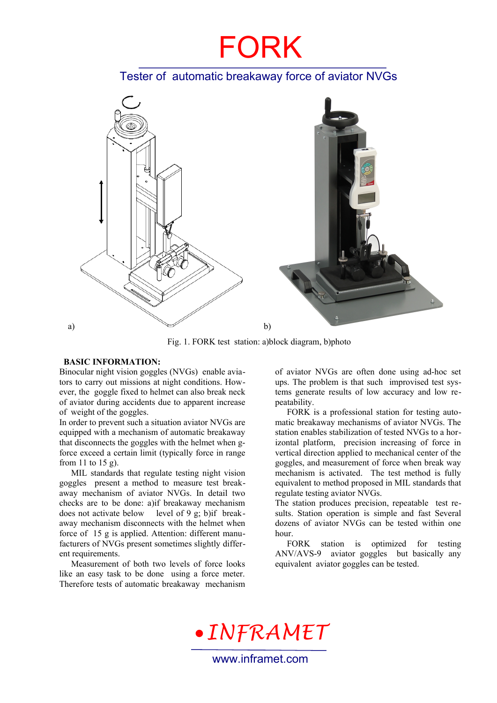## FORK

## Tester of automatic breakaway force of aviator NVGs



Fig. 1. FORK test station: a)block diagram, b)photo

### **BASIC INFORMATION:**

Binocular night vision goggles (NVGs) enable aviators to carry out missions at night conditions. However, the goggle fixed to helmet can also break neck of aviator during accidents due to apparent increase of weight of the goggles.

In order to prevent such a situation aviator NVGs are equipped with a mechanism of automatic breakaway that disconnects the goggles with the helmet when gforce exceed a certain limit (typically force in range from 11 to 15 g).

MIL standards that regulate testing night vision goggles present a method to measure test breakaway mechanism of aviator NVGs. In detail two checks are to be done: a)if breakaway mechanism does not activate below level of 9 g; b)if breakaway mechanism disconnects with the helmet when force of 15 g is applied. Attention: different manufacturers of NVGs present sometimes slightly different requirements.

Measurement of both two levels of force looks like an easy task to be done using a force meter. Therefore tests of automatic breakaway mechanism of aviator NVGs are often done using ad-hoc set ups. The problem is that such improvised test systems generate results of low accuracy and low repeatability.

FORK is a professional station for testing automatic breakaway mechanisms of aviator NVGs. The station enables stabilization of tested NVGs to a horizontal platform, precision increasing of force in vertical direction applied to mechanical center of the goggles, and measurement of force when break way mechanism is activated. The test method is fully equivalent to method proposed in MIL standards that regulate testing aviator NVGs.

The station produces precision, repeatable test results. Station operation is simple and fast Several dozens of aviator NVGs can be tested within one hour.

FORK station is optimized for testing ANV/AVS-9 aviator goggles but basically any equivalent aviator goggles can be tested.